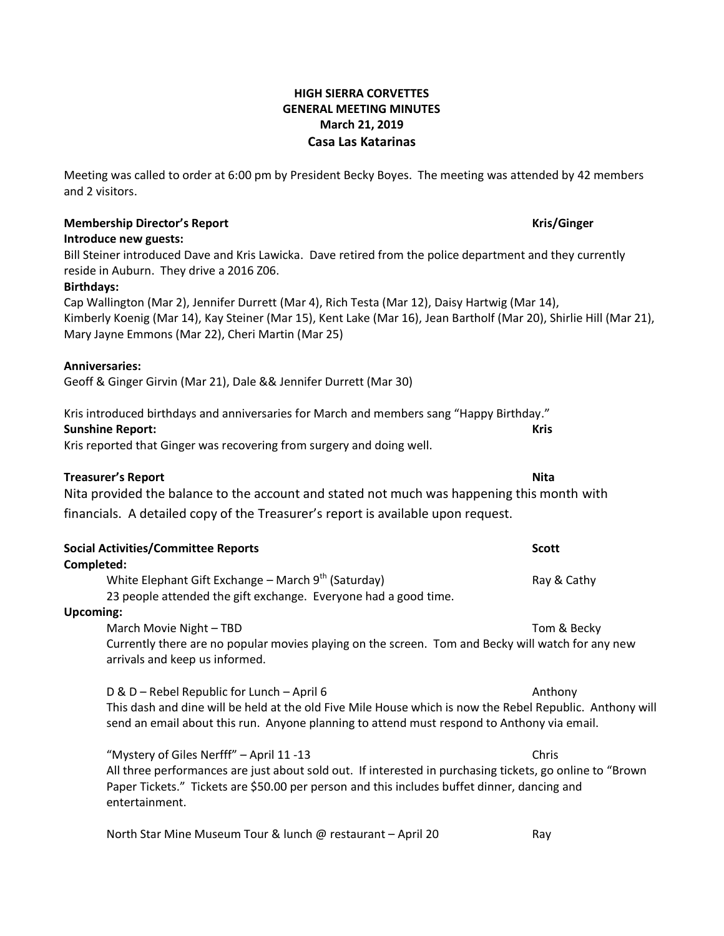# **HIGH SIERRA CORVETTES GENERAL MEETING MINUTES March 21, 2019 Casa Las Katarinas**

Meeting was called to order at 6:00 pm by President Becky Boyes. The meeting was attended by 42 members and 2 visitors.

# **Membership Director's Report Kris/Ginger**

# **Introduce new guests:**

Bill Steiner introduced Dave and Kris Lawicka. Dave retired from the police department and they currently reside in Auburn. They drive a 2016 Z06.

# **Birthdays:**

Cap Wallington (Mar 2), Jennifer Durrett (Mar 4), Rich Testa (Mar 12), Daisy Hartwig (Mar 14), Kimberly Koenig (Mar 14), Kay Steiner (Mar 15), Kent Lake (Mar 16), Jean Bartholf (Mar 20), Shirlie Hill (Mar 21), Mary Jayne Emmons (Mar 22), Cheri Martin (Mar 25)

# **Anniversaries:**

Geoff & Ginger Girvin (Mar 21), Dale && Jennifer Durrett (Mar 30)

Kris introduced birthdays and anniversaries for March and members sang "Happy Birthday." **Sunshine Report: Kris**

Kris reported that Ginger was recovering from surgery and doing well.

# **Treasurer's Report Nita**

Nita provided the balance to the account and stated not much was happening this month with financials. A detailed copy of the Treasurer's report is available upon request.

|                  | <b>Social Activities/Committee Reports</b>                                                                                                                                                                                 | <b>Scott</b> |
|------------------|----------------------------------------------------------------------------------------------------------------------------------------------------------------------------------------------------------------------------|--------------|
| Completed:       |                                                                                                                                                                                                                            |              |
|                  | White Elephant Gift Exchange – March $9th$ (Saturday)                                                                                                                                                                      | Ray & Cathy  |
|                  | 23 people attended the gift exchange. Everyone had a good time.                                                                                                                                                            |              |
| <b>Upcoming:</b> |                                                                                                                                                                                                                            |              |
|                  | March Movie Night – TBD                                                                                                                                                                                                    | Tom & Becky  |
|                  | Currently there are no popular movies playing on the screen. Tom and Becky will watch for any new<br>arrivals and keep us informed.                                                                                        |              |
|                  | D & D - Rebel Republic for Lunch - April 6                                                                                                                                                                                 | Anthony      |
|                  | This dash and dine will be held at the old Five Mile House which is now the Rebel Republic. Anthony will<br>send an email about this run. Anyone planning to attend must respond to Anthony via email.                     |              |
|                  | "Mystery of Giles Nerfff" – April 11 -13                                                                                                                                                                                   | Chris        |
|                  | All three performances are just about sold out. If interested in purchasing tickets, go online to "Brown"<br>Paper Tickets." Tickets are \$50.00 per person and this includes buffet dinner, dancing and<br>entertainment. |              |

North Star Mine Museum Tour & lunch @ restaurant – April 20 Ray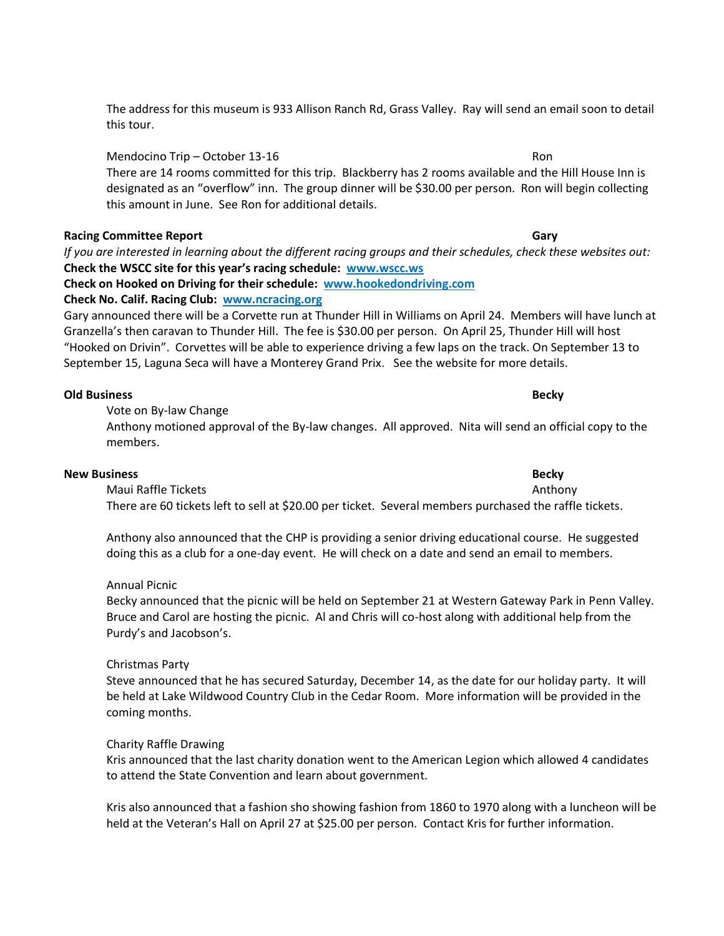The address for this museum is 933 Allison Ranch Rd, Grass Valley. Ray will send an email soon to detail this tour.

Mendocino Trip – October 13-16 Ron There are 14 rooms committed for this trip. Blackberry has 2 rooms available and the Hill House Inn is designated as an "overflow" inn. The group dinner will be \$30.00 per person. Ron will begin collecting this amount in June. See Ron for additional details.

## **Racing Committee Report Gary**

*If you are interested in learning about the different racing groups and their schedules, check these websites out:* **Check the WSCC site for this year's racing schedule: www.wscc.ws**

**Check on Hooked on Driving for their schedule: [www.hookedondriving.com](http://www.hookedondriving.com/) Check No. Calif. Racing Club: [www.ncracing.org](http://www.ncracing.org/)**

Gary announced there will be a Corvette run at Thunder Hill in Williams on April 24. Members will have lunch at Granzella's then caravan to Thunder Hill. The fee is \$30.00 per person. On April 25, Thunder Hill will host "Hooked on Drivin". Corvettes will be able to experience driving a few laps on the track. On September 13 to September 15, Laguna Seca will have a Monterey Grand Prix. See the website for more details.

## **Old Business Becky**

Vote on By-law Change

Anthony motioned approval of the By-law changes. All approved. Nita will send an official copy to the members.

## **New Business Becky**

Maui Raffle Tickets **Anthony** Anthony There are 60 tickets left to sell at \$20.00 per ticket. Several members purchased the raffle tickets.

Anthony also announced that the CHP is providing a senior driving educational course. He suggested doing this as a club for a one-day event. He will check on a date and send an email to members.

## Annual Picnic

Becky announced that the picnic will be held on September 21 at Western Gateway Park in Penn Valley. Bruce and Carol are hosting the picnic. Al and Chris will co-host along with additional help from the Purdy's and Jacobson's.

## Christmas Party

Steve announced that he has secured Saturday, December 14, as the date for our holiday party. It will be held at Lake Wildwood Country Club in the Cedar Room. More information will be provided in the coming months.

## Charity Raffle Drawing

Kris announced that the last charity donation went to the American Legion which allowed 4 candidates to attend the State Convention and learn about government.

Kris also announced that a fashion sho showing fashion from 1860 to 1970 along with a luncheon will be held at the Veteran's Hall on April 27 at \$25.00 per person. Contact Kris for further information.